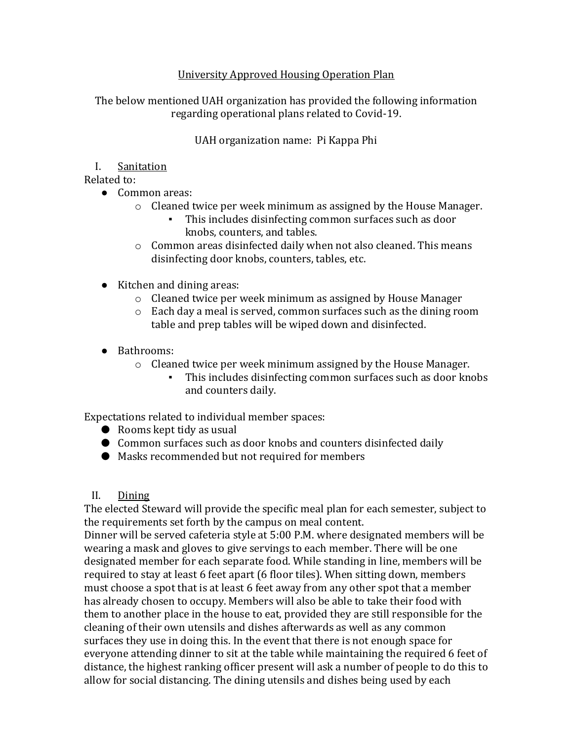#### University Approved Housing Operation Plan

The below mentioned UAH organization has provided the following information regarding operational plans related to Covid-19.

UAH organization name: Pi Kappa Phi

#### I. Sanitation

Related to:

- Common areas:
	- o Cleaned twice per week minimum as assigned by the House Manager.
		- This includes disinfecting common surfaces such as door knobs, counters, and tables.
	- o Common areas disinfected daily when not also cleaned. This means disinfecting door knobs, counters, tables, etc.
- Kitchen and dining areas:
	- o Cleaned twice per week minimum as assigned by House Manager
	- o Each day a meal is served, common surfaces such as the dining room table and prep tables will be wiped down and disinfected.
- Bathrooms:
	- o Cleaned twice per week minimum assigned by the House Manager.
		- This includes disinfecting common surfaces such as door knobs and counters daily.

Expectations related to individual member spaces:

- $\bullet$  Rooms kept tidy as usual
- Common surfaces such as door knobs and counters disinfected daily
- Masks recommended but not required for members

#### II. Dining

The elected Steward will provide the specific meal plan for each semester, subject to the requirements set forth by the campus on meal content.

Dinner will be served cafeteria style at 5:00 P.M. where designated members will be wearing a mask and gloves to give servings to each member. There will be one designated member for each separate food. While standing in line, members will be required to stay at least 6 feet apart (6 floor tiles). When sitting down, members must choose a spot that is at least 6 feet away from any other spot that a member has already chosen to occupy. Members will also be able to take their food with them to another place in the house to eat, provided they are still responsible for the cleaning of their own utensils and dishes afterwards as well as any common surfaces they use in doing this. In the event that there is not enough space for everyone attending dinner to sit at the table while maintaining the required 6 feet of distance, the highest ranking officer present will ask a number of people to do this to allow for social distancing. The dining utensils and dishes being used by each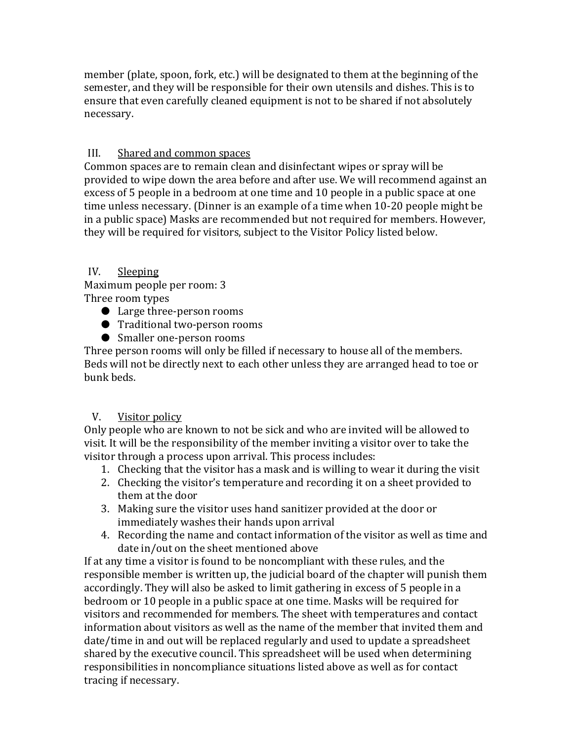member (plate, spoon, fork, etc.) will be designated to them at the beginning of the semester, and they will be responsible for their own utensils and dishes. This is to ensure that even carefully cleaned equipment is not to be shared if not absolutely necessary.

### III. Shared and common spaces

Common spaces are to remain clean and disinfectant wipes or spray will be provided to wipe down the area before and after use. We will recommend against an excess of 5 people in a bedroom at one time and 10 people in a public space at one time unless necessary. (Dinner is an example of a time when 10-20 people might be in a public space) Masks are recommended but not required for members. However, they will be required for visitors, subject to the Visitor Policy listed below.

## IV. Sleeping

Maximum people per room: 3 Three room types

- Large three-person rooms
- Traditional two-person rooms
- Smaller one-person rooms

Three person rooms will only be filled if necessary to house all of the members. Beds will not be directly next to each other unless they are arranged head to toe or bunk beds.

# V. Visitor policy

Only people who are known to not be sick and who are invited will be allowed to visit. It will be the responsibility of the member inviting a visitor over to take the visitor through a process upon arrival. This process includes:

- 1. Checking that the visitor has a mask and is willing to wear it during the visit
- 2. Checking the visitor's temperature and recording it on a sheet provided to them at the door
- 3. Making sure the visitor uses hand sanitizer provided at the door or immediately washes their hands upon arrival
- 4. Recording the name and contact information of the visitor as well as time and date in/out on the sheet mentioned above

If at any time a visitor is found to be noncompliant with these rules, and the responsible member is written up, the judicial board of the chapter will punish them accordingly. They will also be asked to limit gathering in excess of 5 people in a bedroom or 10 people in a public space at one time. Masks will be required for visitors and recommended for members. The sheet with temperatures and contact information about visitors as well as the name of the member that invited them and date/time in and out will be replaced regularly and used to update a spreadsheet shared by the executive council. This spreadsheet will be used when determining responsibilities in noncompliance situations listed above as well as for contact tracing if necessary.